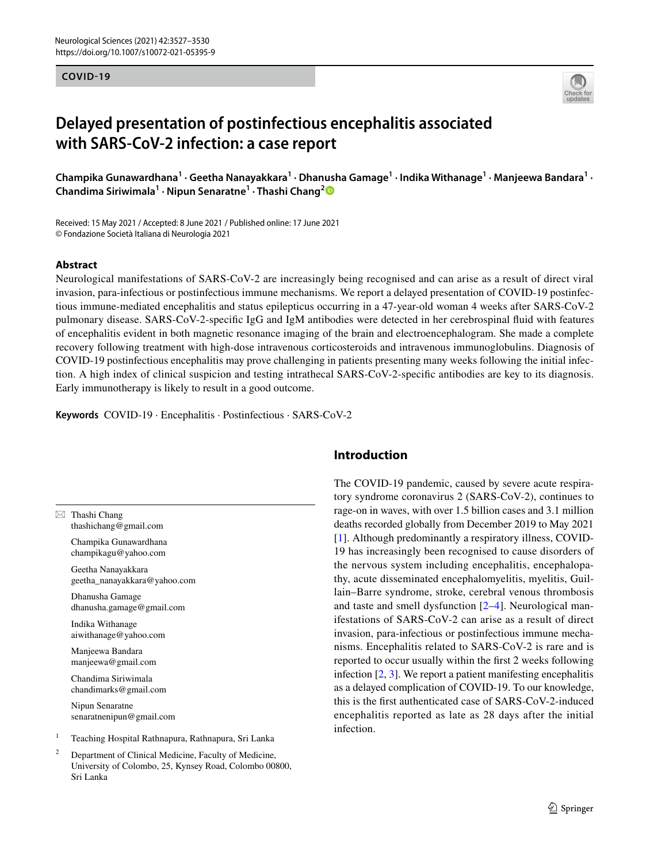#### **COVID-19**



# **Delayed presentation of postinfectious encephalitis associated with SARS‑CoV‑2 infection: a case report**

 ${\sf Champika}$  Gunawardhana $^1\cdot$  Geetha Nanayakkara $^1\cdot$  Dhanusha Gamage $^1\cdot$  Indika Withanage $^1\cdot$  Manjeewa Bandara $^1\cdot$ **Chandima Siriwimala1 · Nipun Senaratne1 · Thashi Chang[2](http://orcid.org/0000-0002-6027-7883)**

Received: 15 May 2021 / Accepted: 8 June 2021 / Published online: 17 June 2021 © Fondazione Società Italiana di Neurologia 2021

#### **Abstract**

Neurological manifestations of SARS-CoV-2 are increasingly being recognised and can arise as a result of direct viral invasion, para-infectious or postinfectious immune mechanisms. We report a delayed presentation of COVID-19 postinfectious immune-mediated encephalitis and status epilepticus occurring in a 47-year-old woman 4 weeks after SARS-CoV-2 pulmonary disease. SARS-CoV-2-specifc IgG and IgM antibodies were detected in her cerebrospinal fuid with features of encephalitis evident in both magnetic resonance imaging of the brain and electroencephalogram. She made a complete recovery following treatment with high-dose intravenous corticosteroids and intravenous immunoglobulins. Diagnosis of COVID-19 postinfectious encephalitis may prove challenging in patients presenting many weeks following the initial infection. A high index of clinical suspicion and testing intrathecal SARS-CoV-2-specifc antibodies are key to its diagnosis. Early immunotherapy is likely to result in a good outcome.

**Keywords** COVID-19 · Encephalitis · Postinfectious · SARS-CoV-2

 $\boxtimes$  Thashi Chang thashichang@gmail.com

> Champika Gunawardhana champikagu@yahoo.com

Geetha Nanayakkara geetha\_nanayakkara@yahoo.com

Dhanusha Gamage dhanusha.gamage@gmail.com

Indika Withanage aiwithanage@yahoo.com

Manjeewa Bandara manjeewa@gmail.com

Chandima Siriwimala chandimarks@gmail.com

Nipun Senaratne senaratnenipun@gmail.com

<sup>1</sup> Teaching Hospital Rathnapura, Rathnapura, Sri Lanka

Department of Clinical Medicine, Faculty of Medicine, University of Colombo, 25, Kynsey Road, Colombo 00800, Sri Lanka

## **Introduction**

The COVID-19 pandemic, caused by severe acute respiratory syndrome coronavirus 2 (SARS-CoV-2), continues to rage-on in waves, with over 1.5 billion cases and 3.1 million deaths recorded globally from December 2019 to May 2021 [[1\]](#page-2-0). Although predominantly a respiratory illness, COVID-19 has increasingly been recognised to cause disorders of the nervous system including encephalitis, encephalopathy, acute disseminated encephalomyelitis, myelitis, Guillain–Barre syndrome, stroke, cerebral venous thrombosis and taste and smell dysfunction [[2](#page-2-1)[–4](#page-2-2)]. Neurological manifestations of SARS-CoV-2 can arise as a result of direct invasion, para-infectious or postinfectious immune mechanisms. Encephalitis related to SARS-CoV-2 is rare and is reported to occur usually within the frst 2 weeks following infection [[2,](#page-2-1) [3\]](#page-2-3). We report a patient manifesting encephalitis as a delayed complication of COVID-19. To our knowledge, this is the frst authenticated case of SARS-CoV-2-induced encephalitis reported as late as 28 days after the initial infection.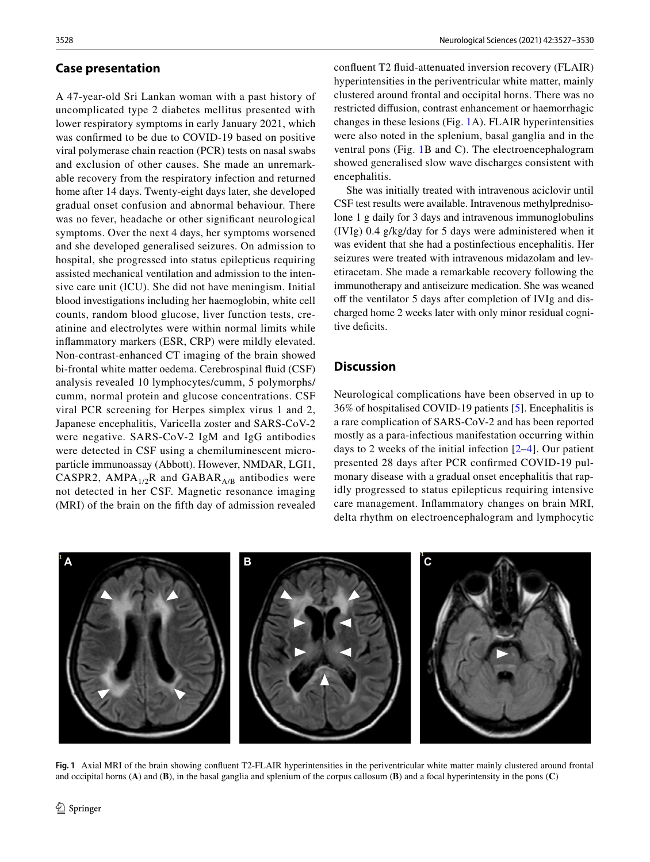#### **Case presentation**

A 47-year-old Sri Lankan woman with a past history of uncomplicated type 2 diabetes mellitus presented with lower respiratory symptoms in early January 2021, which was confrmed to be due to COVID-19 based on positive viral polymerase chain reaction (PCR) tests on nasal swabs and exclusion of other causes. She made an unremarkable recovery from the respiratory infection and returned home after 14 days. Twenty-eight days later, she developed gradual onset confusion and abnormal behaviour. There was no fever, headache or other signifcant neurological symptoms. Over the next 4 days, her symptoms worsened and she developed generalised seizures. On admission to hospital, she progressed into status epilepticus requiring assisted mechanical ventilation and admission to the intensive care unit (ICU). She did not have meningism. Initial blood investigations including her haemoglobin, white cell counts, random blood glucose, liver function tests, creatinine and electrolytes were within normal limits while infammatory markers (ESR, CRP) were mildly elevated. Non-contrast-enhanced CT imaging of the brain showed bi-frontal white matter oedema. Cerebrospinal fuid (CSF) analysis revealed 10 lymphocytes/cumm, 5 polymorphs/ cumm, normal protein and glucose concentrations. CSF viral PCR screening for Herpes simplex virus 1 and 2, Japanese encephalitis, Varicella zoster and SARS-CoV-2 were negative. SARS-CoV-2 IgM and IgG antibodies were detected in CSF using a chemiluminescent microparticle immunoassay (Abbott). However, NMDAR, LGI1, CASPR2, AMPA<sub>1/2</sub>R and GABAR<sub>A/B</sub> antibodies were not detected in her CSF. Magnetic resonance imaging (MRI) of the brain on the ffth day of admission revealed confuent T2 fuid-attenuated inversion recovery (FLAIR) hyperintensities in the periventricular white matter, mainly clustered around frontal and occipital horns. There was no restricted difusion, contrast enhancement or haemorrhagic changes in these lesions (Fig. [1](#page-1-0)A). FLAIR hyperintensities were also noted in the splenium, basal ganglia and in the ventral pons (Fig. [1](#page-1-0)B and C). The electroencephalogram showed generalised slow wave discharges consistent with encephalitis.

She was initially treated with intravenous aciclovir until CSF test results were available. Intravenous methylprednisolone 1 g daily for 3 days and intravenous immunoglobulins (IVIg) 0.4 g/kg/day for 5 days were administered when it was evident that she had a postinfectious encephalitis. Her seizures were treated with intravenous midazolam and levetiracetam. She made a remarkable recovery following the immunotherapy and antiseizure medication. She was weaned off the ventilator 5 days after completion of IVIg and discharged home 2 weeks later with only minor residual cognitive deficits.

### **Discussion**

Neurological complications have been observed in up to 36% of hospitalised COVID-19 patients [[5](#page-2-4)]. Encephalitis is a rare complication of SARS-CoV-2 and has been reported mostly as a para-infectious manifestation occurring within days to 2 weeks of the initial infection [[2–](#page-2-1)[4](#page-2-2)]. Our patient presented 28 days after PCR confrmed COVID-19 pulmonary disease with a gradual onset encephalitis that rapidly progressed to status epilepticus requiring intensive care management. Infammatory changes on brain MRI, delta rhythm on electroencephalogram and lymphocytic



<span id="page-1-0"></span>**Fig. 1** Axial MRI of the brain showing confuent T2-FLAIR hyperintensities in the periventricular white matter mainly clustered around frontal and occipital horns (**A**) and (**B**), in the basal ganglia and splenium of the corpus callosum (**B**) and a focal hyperintensity in the pons (**C**)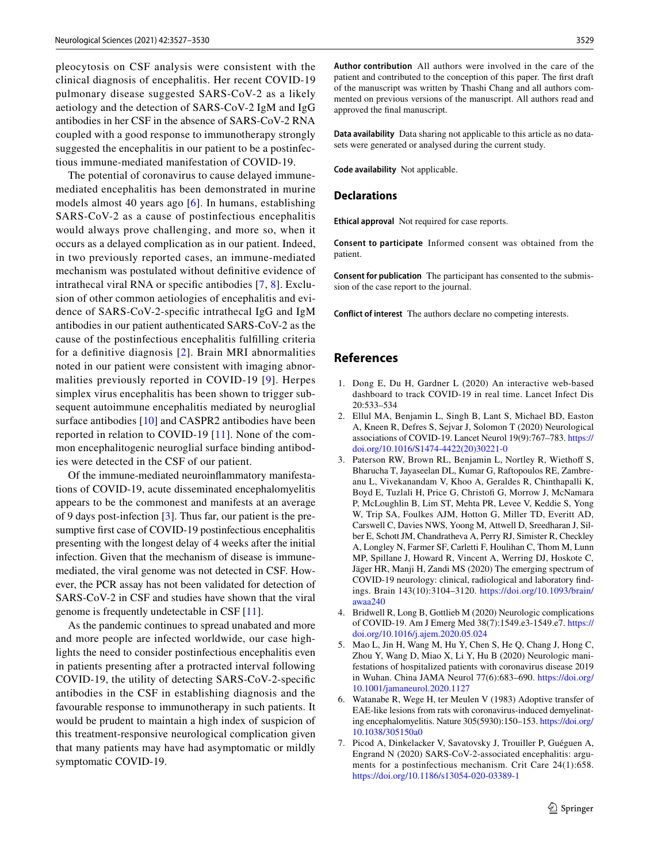pleocytosis on CSF analysis were consistent with the clinical diagnosis of encephalitis. Her recent COVID-19 pulmonary disease suggested SARS-CoV-2 as a likely aetiology and the detection of SARS-CoV-2 IgM and IgG antibodies in her CSF in the absence of SARS-CoV-2 RNA coupled with a good response to immunotherapy strongly suggested the encephalitis in our patient to be a postinfectious immune-mediated manifestation of COVID-19.

The potential of coronavirus to cause delayed immunemediated encephalitis has been demonstrated in murine models almost 40 years ago [[6](#page-2-5)]. In humans, establishing SARS-CoV-2 as a cause of postinfectious encephalitis would always prove challenging, and more so, when it occurs as a delayed complication as in our patient. Indeed, in two previously reported cases, an immune-mediated mechanism was postulated without defnitive evidence of intrathecal viral RNA or specifc antibodies [[7,](#page-2-6) [8](#page-3-0)]. Exclusion of other common aetiologies of encephalitis and evidence of SARS-CoV-2-specifc intrathecal IgG and IgM antibodies in our patient authenticated SARS-CoV-2 as the cause of the postinfectious encephalitis fulflling criteria for a defnitive diagnosis [[2\]](#page-2-1). Brain MRI abnormalities noted in our patient were consistent with imaging abnormalities previously reported in COVID-19 [[9\]](#page-3-1). Herpes simplex virus encephalitis has been shown to trigger subsequent autoimmune encephalitis mediated by neuroglial surface antibodies [\[10](#page-3-2)] and CASPR2 antibodies have been reported in relation to COVID-19 [[11](#page-3-3)]. None of the common encephalitogenic neuroglial surface binding antibodies were detected in the CSF of our patient.

Of the immune-mediated neuroinfammatory manifestations of COVID-19, acute disseminated encephalomyelitis appears to be the commonest and manifests at an average of 9 days post-infection [\[3](#page-2-3)]. Thus far, our patient is the presumptive frst case of COVID-19 postinfectious encephalitis presenting with the longest delay of 4 weeks after the initial infection. Given that the mechanism of disease is immunemediated, the viral genome was not detected in CSF. However, the PCR assay has not been validated for detection of SARS-CoV-2 in CSF and studies have shown that the viral genome is frequently undetectable in CSF [[11\]](#page-3-3).

As the pandemic continues to spread unabated and more and more people are infected worldwide, our case highlights the need to consider postinfectious encephalitis even in patients presenting after a protracted interval following COVID-19, the utility of detecting SARS-CoV-2-specifc antibodies in the CSF in establishing diagnosis and the favourable response to immunotherapy in such patients. It would be prudent to maintain a high index of suspicion of this treatment-responsive neurological complication given that many patients may have had asymptomatic or mildly symptomatic COVID-19.

**Author contribution** All authors were involved in the care of the patient and contributed to the conception of this paper. The frst draft of the manuscript was written by Thashi Chang and all authors commented on previous versions of the manuscript. All authors read and approved the fnal manuscript.

**Data availability** Data sharing not applicable to this article as no datasets were generated or analysed during the current study.

**Code availability** Not applicable.

#### **Declarations**

**Ethical approval** Not required for case reports.

**Consent to participate** Informed consent was obtained from the patient.

**Consent for publication** The participant has consented to the submission of the case report to the journal.

**Conflict of interest** The authors declare no competing interests.

# **References**

- <span id="page-2-0"></span>1. Dong E, Du H, Gardner L (2020) An interactive web-based dashboard to track COVID-19 in real time. Lancet Infect Dis 20:533–534
- <span id="page-2-1"></span>2. Ellul MA, Benjamin L, Singh B, Lant S, Michael BD, Easton A, Kneen R, Defres S, Sejvar J, Solomon T (2020) Neurological associations of COVID-19. Lancet Neurol 19(9):767–783. [https://](https://doi.org/10.1016/S1474-4422(20)30221-0) [doi.org/10.1016/S1474-4422\(20\)30221-0](https://doi.org/10.1016/S1474-4422(20)30221-0)
- <span id="page-2-3"></span>3. Paterson RW, Brown RL, Benjamin L, Nortley R, Wiethoff S, Bharucha T, Jayaseelan DL, Kumar G, Raftopoulos RE, Zambreanu L, Vivekanandam V, Khoo A, Geraldes R, Chinthapalli K, Boyd E, Tuzlali H, Price G, Christof G, Morrow J, McNamara P, McLoughlin B, Lim ST, Mehta PR, Levee V, Keddie S, Yong W, Trip SA, Foulkes AJM, Hotton G, Miller TD, Everitt AD, Carswell C, Davies NWS, Yoong M, Attwell D, Sreedharan J, Silber E, Schott JM, Chandratheva A, Perry RJ, Simister R, Checkley A, Longley N, Farmer SF, Carletti F, Houlihan C, Thom M, Lunn MP, Spillane J, Howard R, Vincent A, Werring DJ, Hoskote C, Jäger HR, Manji H, Zandi MS (2020) The emerging spectrum of COVID-19 neurology: clinical, radiological and laboratory fndings. Brain 143(10):3104–3120. [https://doi.org/10.1093/brain/](https://doi.org/10.1093/brain/awaa240) [awaa240](https://doi.org/10.1093/brain/awaa240)
- <span id="page-2-2"></span>4. Bridwell R, Long B, Gottlieb M (2020) Neurologic complications of COVID-19. Am J Emerg Med 38(7):1549.e3-1549.e7. [https://](https://doi.org/10.1016/j.ajem.2020.05.024) [doi.org/10.1016/j.ajem.2020.05.024](https://doi.org/10.1016/j.ajem.2020.05.024)
- <span id="page-2-4"></span>5. Mao L, Jin H, Wang M, Hu Y, Chen S, He Q, Chang J, Hong C, Zhou Y, Wang D, Miao X, Li Y, Hu B (2020) Neurologic manifestations of hospitalized patients with coronavirus disease 2019 in Wuhan. China JAMA Neurol 77(6):683–690. [https://doi.org/](https://doi.org/10.1001/jamaneurol.2020.1127) [10.1001/jamaneurol.2020.1127](https://doi.org/10.1001/jamaneurol.2020.1127)
- <span id="page-2-5"></span>6. Watanabe R, Wege H, ter Meulen V (1983) Adoptive transfer of EAE-like lesions from rats with coronavirus-induced demyelinating encephalomyelitis. Nature 305(5930):150–153. [https://doi.org/](https://doi.org/10.1038/305150a0) [10.1038/305150a0](https://doi.org/10.1038/305150a0)
- <span id="page-2-6"></span>7. Picod A, Dinkelacker V, Savatovsky J, Trouiller P, Guéguen A, Engrand N (2020) SARS-CoV-2-associated encephalitis: arguments for a postinfectious mechanism. Crit Care 24(1):658. <https://doi.org/10.1186/s13054-020-03389-1>